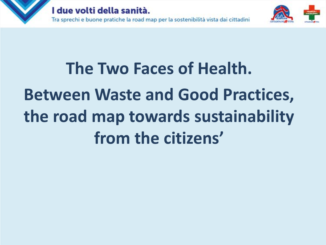



# **The Two Faces of Health. Between Waste and Good Practices, the road map towards sustainability from the citizens'**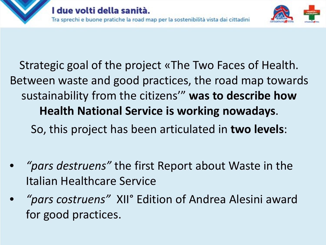

Strategic goal of the project «The Two Faces of Health. Between waste and good practices, the road map towards sustainability from the citizens'" **was to describe how Health National Service is working nowadays**.

So, this project has been articulated in **two levels**:

- *"pars destruens"* the first Report about Waste in the Italian Healthcare Service
- *"pars costruens"* XII° Edition of Andrea Alesini award for good practices.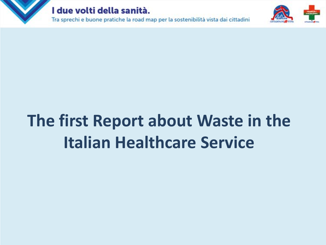



## **The first Report about Waste in the Italian Healthcare Service**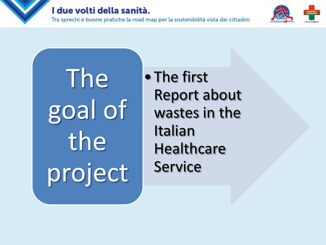Tra sprechi e buone pratiche la road map per la sostenibilità vista dai cittadini



The goal of the project

• The first Report about wastes in the Italian **Healthcare** Service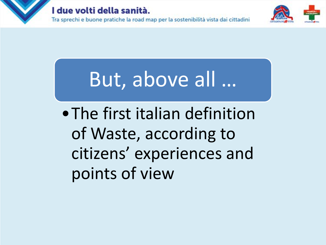



# But, above all …

•The first italian definition of Waste, according to citizens' experiences and points of view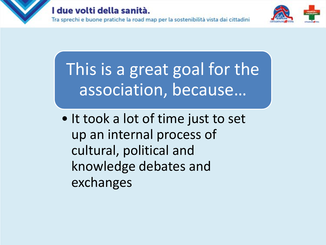



This is a great goal for the association, because…

• It took a lot of time just to set up an internal process of cultural, political and knowledge debates and exchanges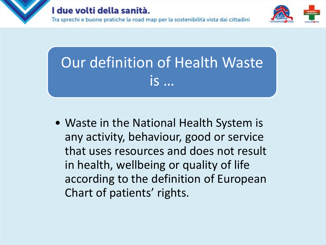

## Our definition of Health Waste is …

• Waste in the National Health System is any activity, behaviour, good or service that uses resources and does not result in health, wellbeing or quality of life according to the definition of European Chart of patients' rights.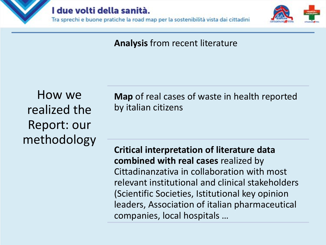



**Analysis** from recent literature

How we realized the Report: our methodology

**Map** of real cases of waste in health reported by italian citizens

**Critical interpretation of literature data combined with real cases** realized by Cittadinanzativa in collaboration with most relevant institutional and clinical stakeholders (Scientific Societies, Istitutional key opinion leaders, Association of italian pharmaceutical companies, local hospitals …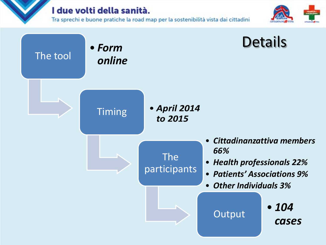Tra sprechi e buone pratiche la road map per la sostenibilità vista dai cittadini



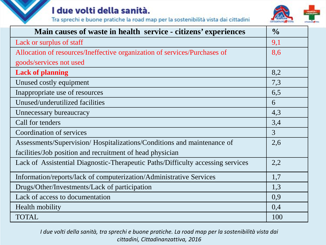Tra sprechi e buone pratiche la road map per la sostenibilità vista dai cittadini



| Main causes of waste in health service - citizens' experiences                  |     |  |
|---------------------------------------------------------------------------------|-----|--|
| Lack or surplus of staff                                                        | 9,1 |  |
| Allocation of resources/Ineffective organization of services/Purchases of       | 8,6 |  |
| goods/services not used                                                         |     |  |
| <b>Lack of planning</b>                                                         | 8,2 |  |
| Unused costly equipment                                                         | 7,3 |  |
| Inappropriate use of resources                                                  | 6,5 |  |
| Unused/underutilized facilities                                                 | 6   |  |
| Unnecessary bureaucracy                                                         | 4,3 |  |
| Call for tenders                                                                | 3,4 |  |
| Coordination of services                                                        | 3   |  |
| Assessments/Supervision/Hospitalizations/Conditions and maintenance of          | 2,6 |  |
| facilities/Job position and recruitment of head physician                       |     |  |
| Lack of Assistential Diagnostic-Therapeutic Paths/Difficulty accessing services | 2,2 |  |
| Information/reports/lack of computerization/Administrative Services             | 1,7 |  |
| Drugs/Other/Investments/Lack of participation                                   | 1,3 |  |
| Lack of access to documentation                                                 | 0,9 |  |
| Health mobility                                                                 | 0,4 |  |
| <b>TOTAL</b>                                                                    | 100 |  |

*I due volti della sanità, tra sprechi e buone pratiche. La road map per la sostenibilità vista dai cittadini, Cittadinanzattiva, 2016*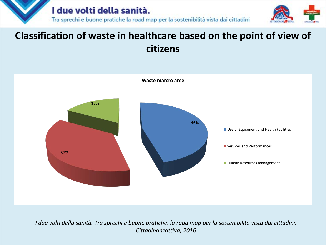

## **Classification of waste in healthcare based on the point of view of citizens**



*I due volti della sanità. Tra sprechi e buone pratiche, la road map per la sostenibilità vista dai cittadini, Cittadinanzattiva, 2016*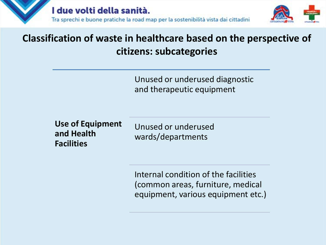

## **Classification of waste in healthcare based on the perspective of citizens: subcategories**

Unused or underused diagnostic and therapeutic equipment

**Use of Equipment and Health Facilities**

Unused or underused wards/departments

Internal condition of the facilities (common areas, furniture, medical equipment, various equipment etc.)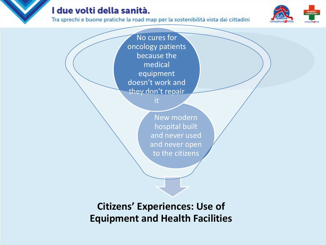Tra sprechi e buone pratiche la road map per la sostenibilità vista dai cittadini



No cures for oncology patients because the medical equipment doesn't work and they don't repair

it

New modern hospital built and never used and never open to the citizens

**Citizens' Experiences: Use of Equipment and Health Facilities**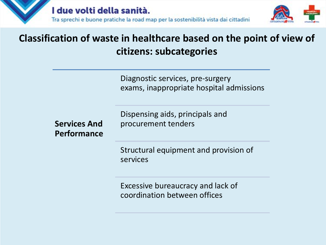

## **Classification of waste in healthcare based on the point of view of citizens: subcategories**

Diagnostic services, pre-surgery exams, inappropriate hospital admissions

| <b>Services And</b><br>Performance | Dispensing aids, principals and<br>procurement tenders            |
|------------------------------------|-------------------------------------------------------------------|
|                                    | Structural equipment and provision of<br>services                 |
|                                    | Excessive bureaucracy and lack of<br>coordination between offices |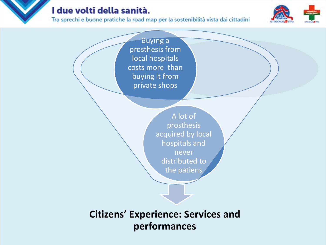Tra sprechi e buone pratiche la road map per la sostenibilità vista dai cittadini



Buying a prosthesis from local hospitals costs more than buying it from private shops

> A lot of prosthesis acquired by local hospitals and never distributed to the patiens

**Citizens' Experience: Services and performances**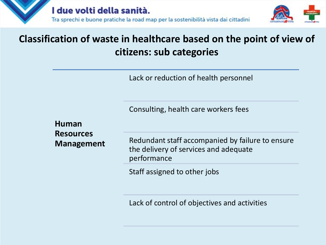

## **Classification of waste in healthcare based on the point of view of citizens: sub categories**

Lack or reduction of health personnel

Consulting, health care workers fees

**Human Resources Management**

Redundant staff accompanied by failure to ensure the delivery of services and adequate performance

Staff assigned to other jobs

Lack of control of objectives and activities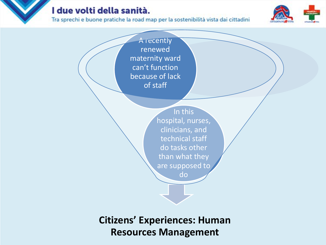Tra sprechi e buone pratiche la road map per la sostenibilità vista dai cittadini



A recently renewed maternity ward can't function because of lack of staff

> In this hospital, nurses, clinicians, and technical staff do tasks other than what they are supposed to do

## **Citizens' Experiences: Human Resources Management**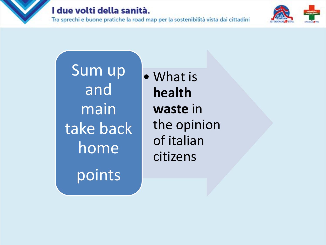Tra sprechi e buone pratiche la road map per la sostenibilità vista dai cittadini



Sum up and main take back home

points

• What is **health waste** in the opinion of italian citizens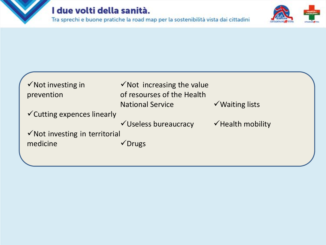Tra sprechi e buone pratiche la road map per la sostenibilità vista dai cittadini



| $\checkmark$ Not investing in             | $\checkmark$ Not increasing the value |                              |  |
|-------------------------------------------|---------------------------------------|------------------------------|--|
| prevention                                | of resourses of the Health            |                              |  |
|                                           | <b>National Service</b>               | √ Waiting lists              |  |
| $\checkmark$ Cutting expences linearly    |                                       |                              |  |
|                                           | √Useless bureaucracy                  | $\checkmark$ Health mobility |  |
| $\checkmark$ Not investing in territorial |                                       |                              |  |
| medicine                                  | √ Drugs                               |                              |  |
|                                           |                                       |                              |  |
|                                           |                                       |                              |  |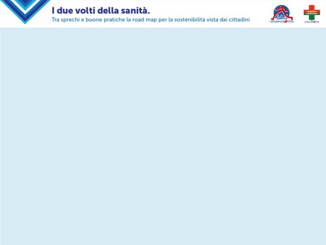